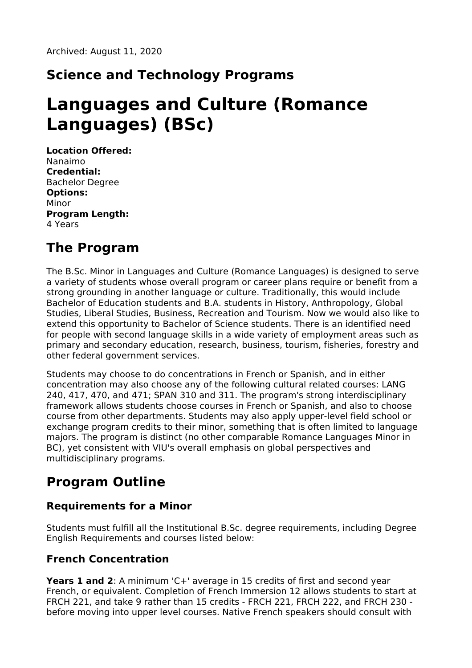## **Science and Technology Programs**

# **Languages and Culture (Romance Languages) (BSc)**

**Location Offered:** Nanaimo **Credential:** Bachelor Degree **Options:** Minor **Program Length:** 4 Years

### **The Program**

The B.Sc. Minor in Languages and Culture (Romance Languages) is designed to serve a variety of students whose overall program or career plans require or benefit from a strong grounding in another language or culture. Traditionally, this would include Bachelor of Education students and B.A. students in History, Anthropology, Global Studies, Liberal Studies, Business, Recreation and Tourism. Now we would also like to extend this opportunity to Bachelor of Science students. There is an identified need for people with second language skills in a wide variety of employment areas such as primary and secondary education, research, business, tourism, fisheries, forestry and other federal government services.

Students may choose to do concentrations in French or Spanish, and in either concentration may also choose any of the following cultural related courses: LANG 240, 417, 470, and 471; SPAN 310 and 311. The program's strong interdisciplinary framework allows students choose courses in French or Spanish, and also to choose course from other departments. Students may also apply upper-level field school or exchange program credits to their minor, something that is often limited to language majors. The program is distinct (no other comparable Romance Languages Minor in BC), yet consistent with VIU's overall emphasis on global perspectives and multidisciplinary programs.

### **Program Outline**

#### **Requirements for a Minor**

Students must fulfill all the Institutional B.Sc. degree requirements, including Degree English Requirements and courses listed below:

#### **French Concentration**

**Years 1 and 2**: A minimum 'C+' average in 15 credits of first and second year French, or equivalent. Completion of French Immersion 12 allows students to start at FRCH 221, and take 9 rather than 15 credits - FRCH 221, FRCH 222, and FRCH 230 before moving into upper level courses. Native French speakers should consult with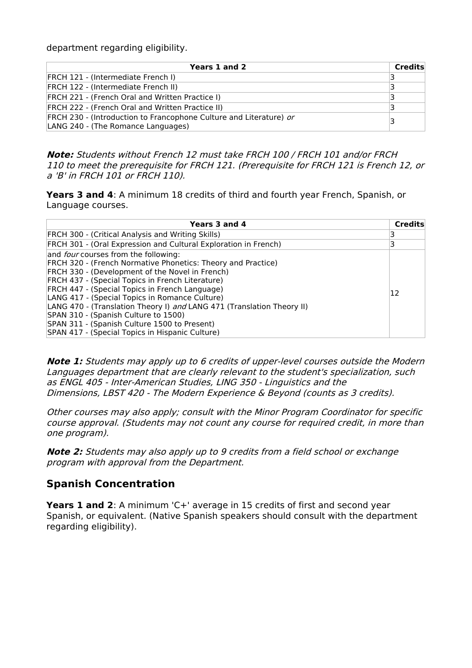department regarding eligibility.

| Years 1 and 2                                                                                            | Credits |
|----------------------------------------------------------------------------------------------------------|---------|
| FRCH 121 - (Intermediate French I)                                                                       | В       |
| FRCH 122 - (Intermediate French II)                                                                      | з       |
| <b>FRCH 221 - (French Oral and Written Practice I)</b>                                                   | з       |
| <b>FRCH 222 - (French Oral and Written Practice II)</b>                                                  |         |
| FRCH 230 - (Introduction to Francophone Culture and Literature) or<br>LANG 240 - (The Romance Languages) | 3       |

**Note:** Students without French 12 must take FRCH 100 / FRCH 101 and/or FRCH 110 to meet the prerequisite for FRCH 121. (Prerequisite for FRCH 121 is French 12, or <sup>a</sup> 'B' in FRCH 101 or FRCH 110).

**Years 3 and 4**: A minimum 18 credits of third and fourth year French, Spanish, or Language courses.

| Years 3 and 4                                                                                                                                                                                                                                                                                                                                                                                                                                                                                                                                      | Credits |
|----------------------------------------------------------------------------------------------------------------------------------------------------------------------------------------------------------------------------------------------------------------------------------------------------------------------------------------------------------------------------------------------------------------------------------------------------------------------------------------------------------------------------------------------------|---------|
| FRCH 300 - (Critical Analysis and Writing Skills)                                                                                                                                                                                                                                                                                                                                                                                                                                                                                                  |         |
| FRCH 301 - (Oral Expression and Cultural Exploration in French)                                                                                                                                                                                                                                                                                                                                                                                                                                                                                    |         |
| and <i>four</i> courses from the following:<br><b>FRCH 320 - (French Normative Phonetics: Theory and Practice)</b><br>FRCH 330 - (Development of the Novel in French)<br>FRCH 437 - (Special Topics in French Literature)<br>FRCH 447 - (Special Topics in French Language)<br>LANG 417 - (Special Topics in Romance Culture)<br>LANG 470 - (Translation Theory I) and LANG 471 (Translation Theory II)<br>SPAN 310 - (Spanish Culture to 1500)<br>SPAN 311 - (Spanish Culture 1500 to Present)<br>SPAN 417 - (Special Topics in Hispanic Culture) | 12      |

**Note 1:** Students may apply up to 6 credits of upper-level courses outside the Modern Languages department that are clearly relevant to the student's specialization, such as ENGL 405 - Inter-American Studies, LING 350 - Linguistics and the Dimensions, LBST 420 - The Modern Experience & Beyond (counts as 3 credits).

Other courses may also apply; consult with the Minor Program Coordinator for specific course approval. (Students may not count any course for required credit, in more than one program).

**Note 2:** Students may also apply up to 9 credits from <sup>a</sup> field school or exchange program with approval from the Department.

#### **Spanish Concentration**

**Years 1 and 2**: A minimum 'C+' average in 15 credits of first and second year Spanish, or equivalent. (Native Spanish speakers should consult with the department regarding eligibility).